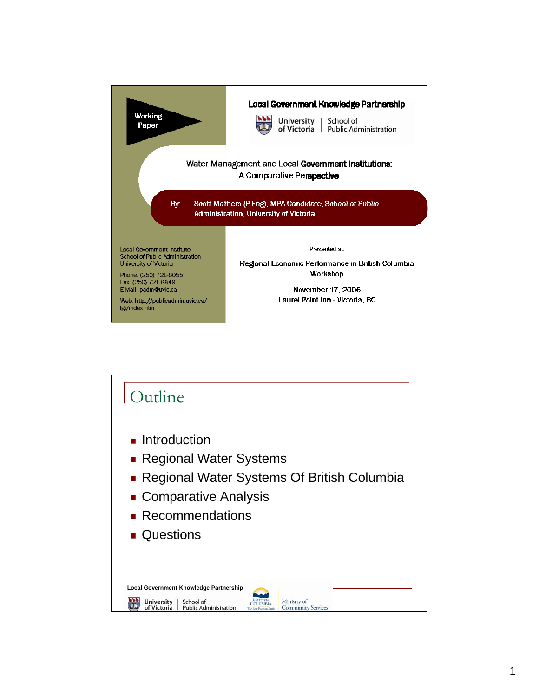

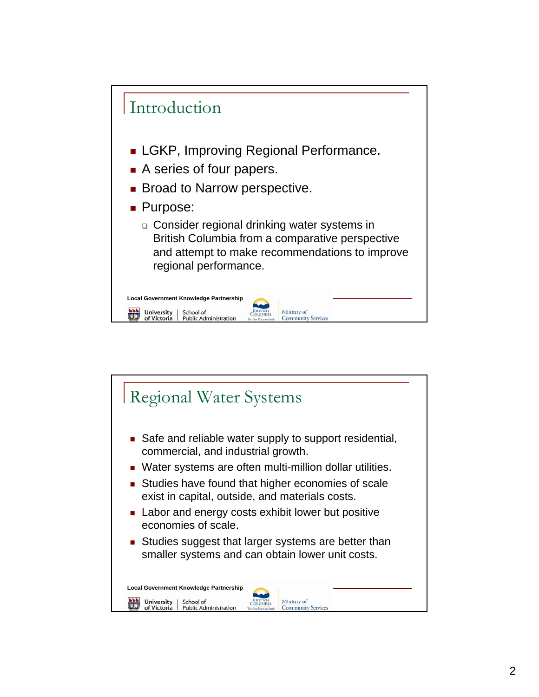

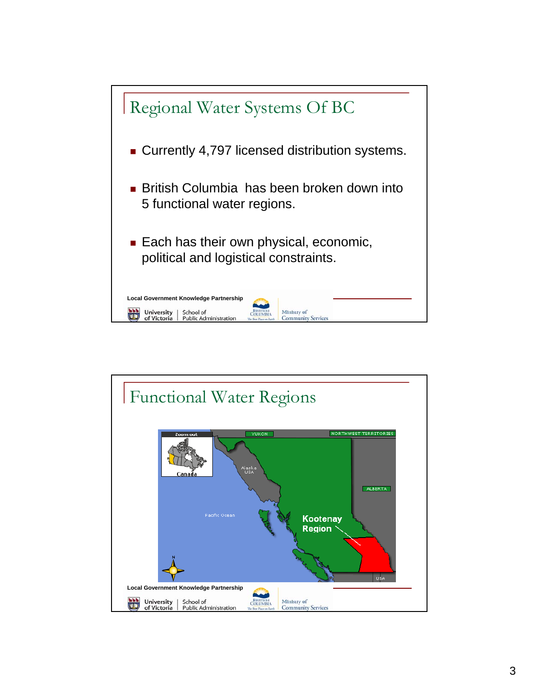

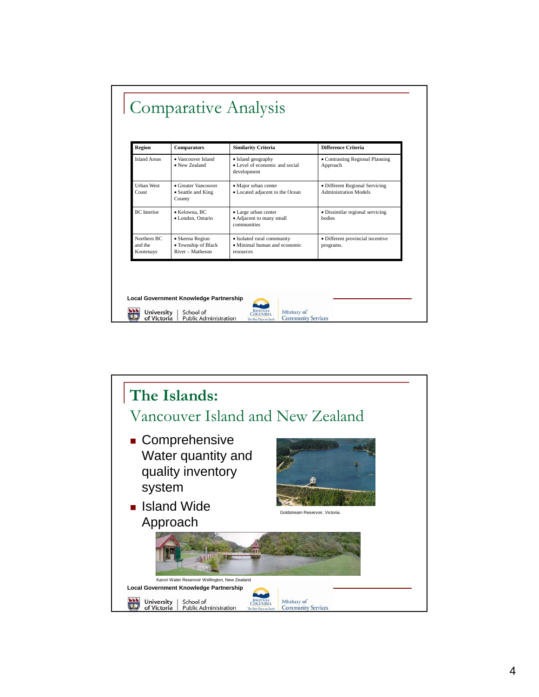| Region                              | Comparators                                                | <b>Similarity Criteria</b>                                              | Difference Criteria                                            |
|-------------------------------------|------------------------------------------------------------|-------------------------------------------------------------------------|----------------------------------------------------------------|
| <b>Island Areas</b>                 | • Vancouver Island<br>• New Zealand                        | • Island geography<br>• Level of economic and social<br>development     | • Contrasting Regional Planning<br>Approach                    |
| <b>Urban West</b><br>Coast          | • Greater Vancouver<br>• Seattle and King<br>County        | · Major urban center<br>• Located adjacent to the Ocean                 | • Different Regional Servicing<br><b>Administration Models</b> |
| <b>BC</b> Interior                  | • Kelowna, BC<br>· London, Ontario                         | · Large urban center<br>· Adjacent to many small<br>communities         | • Dissimilar regional servicing<br>bodies                      |
| Northern RC<br>and the<br>Kootenays | · Skeena Region<br>• Township of Black<br>River - Matheson | · Isolated rural community<br>• Minimal human and economic<br>resources | • Different provincial incentive<br>programs.                  |

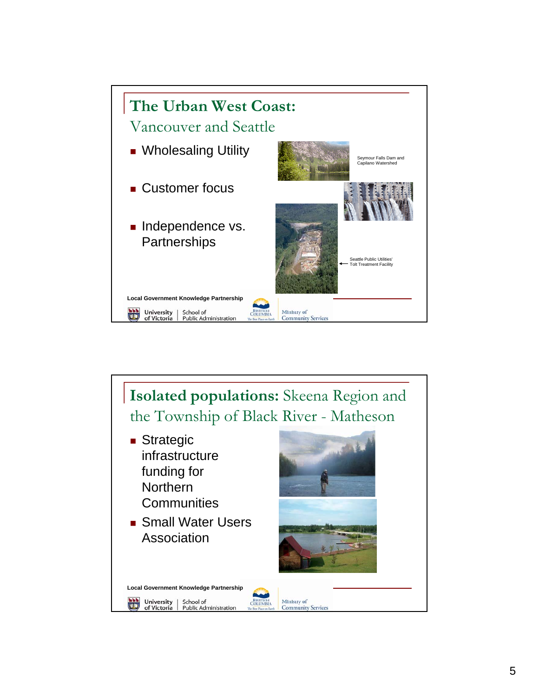

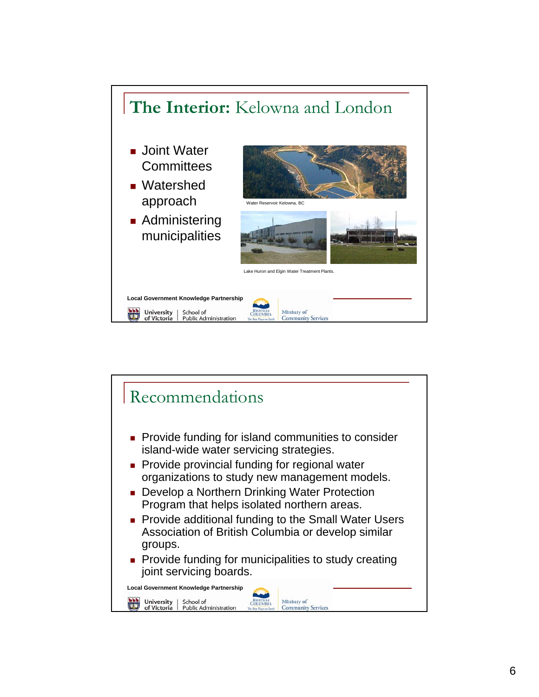